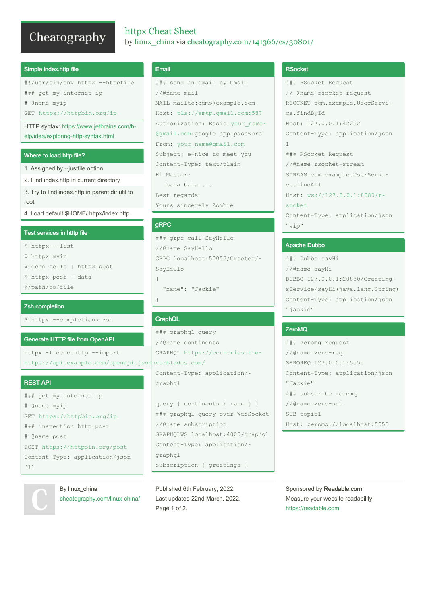# Cheatography

# httpx Cheat Sheet by linux\_china via cheatography.com/141366/cs/30801/

#### Simple index.http file

#!/usr/bin/env httpx --httpfile ### get my internet ip

# @name myip

GET https://httpbin.org/ip

HTTP syntax: https://www.jetbrains.com/help/idea/exploring-http-syntax.html

### Where to load http file?

- 1. Assigned by --justfile option
- 2. Find index.http in current directory

3. Try to find index.http in parent dir util to root

4. Load default \$HOME/.httpx/index.http

# Test services in htttp file

- \$ httpx --list
- \$ httpx myip
- \$ echo hello | httpx post
- \$ httpx post --data
- @/path/to/file

#### Zsh completion

\$ httpx --completions zsh

#### **Generate HTTP file from OpenAPI**

httpx -f demo.http --import https://api.example.com/openapi.jsonnvorblades.com/

#### **REST API**

```
### get my internet ip
# @name myip
GET https://httpbin.org/ip
### inspection http post
# @name post
POST https://httpbin.org/post
Content-Type: application/json
[1]
```
# By linux\_china cheatography.com/linux-china/

# Email

```
### send an email by Gmail
//@name mail
MAIL mailto:demo@example.com
Host: tls://smtp.gmail.com:587
Authorization: Basic your name-
@gmail.com:google app password
From: your name@gmail.com
Subject: e-nice to meet you
Content-Type: text/plain
Hi Master:
  bala bala ...
Best regards
```
Yours sincerely Zombie

# **gRPC**

```
### grpc call SayHello
//@name SayHello
GRPC localhost: 50052/Greeter/-
SayHello
\left\{ \right.
```

```
"name": "Jackie"
```
# GraphQL

### graphql query //@name continents GRAPHQL https://countries.tre-

Content-Type: application/graphql

```
query { continents { name } }
### graphql query over WebSocket
//@name subscription
GRAPHQLWS localhost: 4000/graphql
Content-Type: application/-
graphql
subscription { qreetings }
```
Published 6th February, 2022. Last updated 22nd March, 2022. Page 1 of 2.

# **RSocket**

```
### RSocket Request
// @name rsocket-request
RSOCKET com.example.UserServi-
ce.findById
Host: 127.0.0.1:42252
Content-Type: application/json
\mathbf{1}### RSocket Request
//@name rsocket-stream
STREAM com.example.UserServi-
ce.findAll
Host: ws://127.0.0.1:8080/r-
socket
Content-Type: application/json
"vip"
```
#### **Apache Dubbo**

### Dubbo sayHi //@name sayHi DUBBO 127.0.0.1:20880/GreetingsService/sayHi(java.lang.String) Content-Type: application/json "jackie"

### ZeroMQ

### zeromg request //@name zero-reg ZEROREO 127.0.0.1:5555 Content-Type: application/json "Jackie" ### subscribe zeromq //@name zero-sub SUB topic1 Host: zeromq://localhost:5555

Sponsored by Readable.com Measure your website readability! https://readable.com